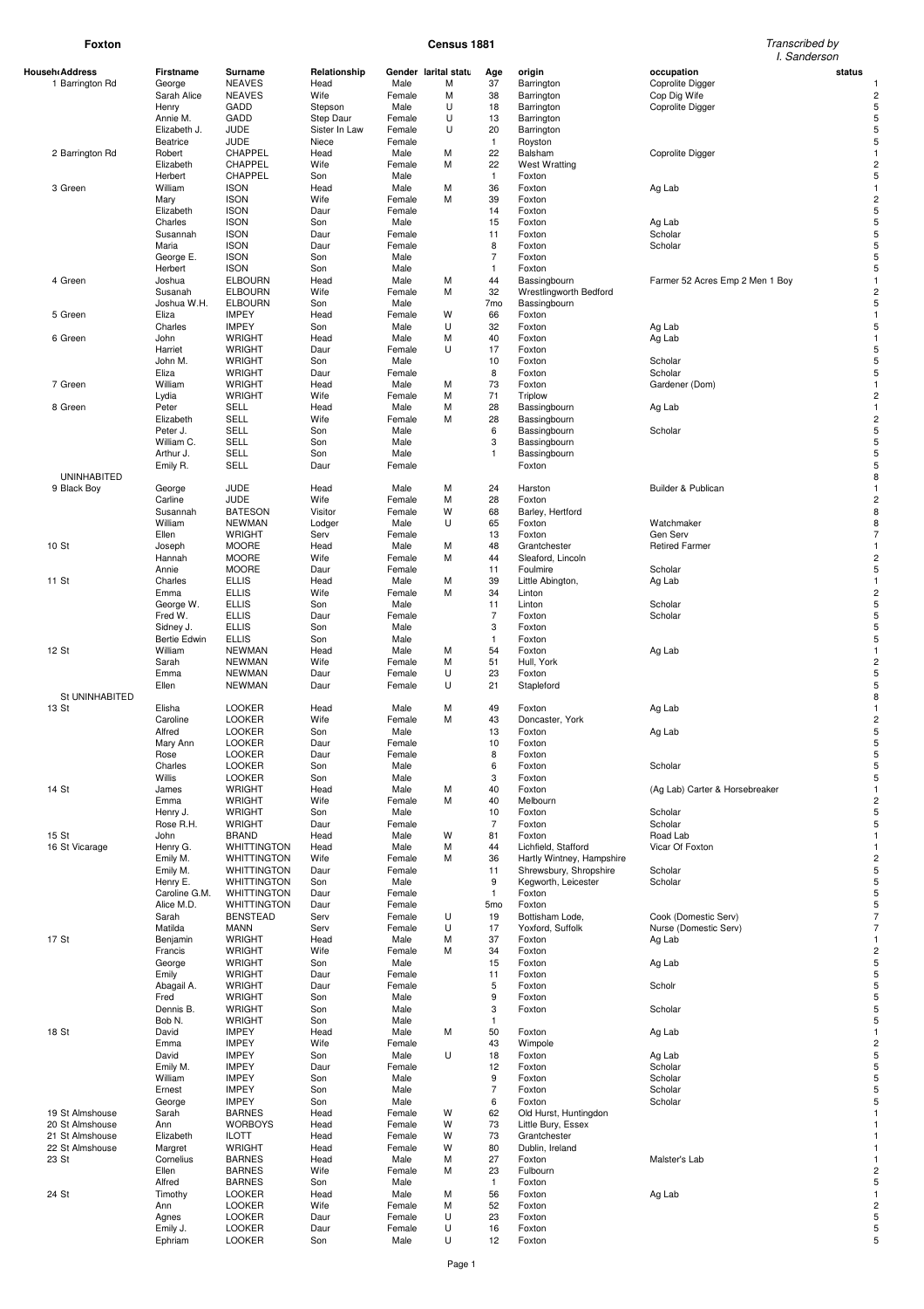# **Foxton Census 1881** Transcribed by

|                |                    |                 |                                          |               |        |                      |                 |                           | I. Sanderson                    |                         |
|----------------|--------------------|-----------------|------------------------------------------|---------------|--------|----------------------|-----------------|---------------------------|---------------------------------|-------------------------|
| Househ Address |                    | Firstname       | Surname                                  | Relationship  |        | Gender larital statu | Age             | origin                    | occupation<br>status            |                         |
|                | 1 Barrington Rd    | George          | <b>NEAVES</b>                            | Head          | Male   | М                    | 37              | Barrington                | <b>Coprolite Digger</b>         |                         |
|                |                    | Sarah Alice     | <b>NEAVES</b>                            | Wife          | Female | М                    | 38              | Barrington                | Cop Dig Wife                    | $\overline{c}$          |
|                |                    | Henry           | GADD                                     | Stepson       | Male   | U                    | 18              | Barrington                | Coprolite Digger                | 5                       |
|                |                    | Annie M.        | GADD                                     | Step Daur     | Female | U                    | 13              | Barrington                |                                 | 5                       |
|                |                    | Elizabeth J.    | <b>JUDE</b>                              | Sister In Law | Female | U                    | 20              | Barrington                |                                 | 5                       |
|                |                    | <b>Beatrice</b> | <b>JUDE</b>                              | Niece         | Female |                      | $\mathbf{1}$    | Royston                   |                                 | 5                       |
|                | 2 Barrington Rd    | Robert          | CHAPPEL                                  | Head          | Male   | M                    | 22              | Balsham                   | Coprolite Digger                | $\mathbf{1}$            |
|                |                    | Elizabeth       | CHAPPEL                                  | Wife          | Female | M                    | 22              | <b>West Wratting</b>      |                                 | $\overline{c}$          |
|                |                    |                 | CHAPPEL                                  |               |        |                      | $\mathbf{1}$    |                           |                                 | 5                       |
|                |                    | Herbert         |                                          | Son           | Male   |                      |                 | Foxton                    |                                 |                         |
|                | 3 Green            | William         | <b>ISON</b>                              | Head          | Male   | M                    | 36              | Foxton                    | Ag Lab                          |                         |
|                |                    | Mary            | <b>ISON</b>                              | Wife          | Female | M                    | 39              | Foxton                    |                                 | $\overline{c}$          |
|                |                    | Elizabeth       | <b>ISON</b>                              | Daur          | Female |                      | 14              | Foxton                    |                                 | 5                       |
|                |                    | Charles         | <b>ISON</b>                              | Son           | Male   |                      | 15              | Foxton                    | Ag Lab                          | 5                       |
|                |                    | Susannah        | <b>ISON</b>                              | Daur          | Female |                      | 11              | Foxton                    | Scholar                         | 5                       |
|                |                    | Maria           | <b>ISON</b>                              | Daur          | Female |                      | 8               | Foxton                    | Scholar                         | 5                       |
|                |                    | George E.       | <b>ISON</b>                              | Son           | Male   |                      | $\overline{7}$  | Foxton                    |                                 | 5                       |
|                |                    | Herbert         | <b>ISON</b>                              | Son           | Male   |                      | 1               | Foxton                    |                                 | 5                       |
|                | 4 Green            | Joshua          | <b>ELBOURN</b>                           | Head          | Male   | M                    | 44              | Bassingbourn              | Farmer 52 Acres Emp 2 Men 1 Boy |                         |
|                |                    | Susanah         | <b>ELBOURN</b>                           | Wife          | Female | M                    | 32              | Wrestlingworth Bedford    |                                 | $\overline{\mathbf{c}}$ |
|                |                    | Joshua W.H.     | <b>ELBOURN</b>                           | Son           | Male   |                      | 7 <sub>mo</sub> | Bassingbourn              |                                 | 5                       |
|                | 5 Green            | Eliza           | <b>IMPEY</b>                             | Head          | Female | W                    | 66              | Foxton                    |                                 | $\mathbf{1}$            |
|                |                    | Charles         | <b>IMPEY</b>                             | Son           | Male   | U                    | 32              | Foxton                    | Ag Lab                          | 5                       |
|                | 6 Green            | John            | <b>WRIGHT</b>                            | Head          | Male   | M                    | 40              | Foxton                    | Ag Lab                          | $\mathbf{1}$            |
|                |                    | Harriet         | <b>WRIGHT</b>                            | Daur          | Female | U                    | 17              | Foxton                    |                                 | 5                       |
|                |                    | John M.         | <b>WRIGHT</b>                            | Son           | Male   |                      | 10              | Foxton                    | Scholar                         | 5                       |
|                |                    | Eliza           | <b>WRIGHT</b>                            |               | Female |                      | 8               |                           | Scholar                         | 5                       |
|                | 7 Green            |                 | <b>WRIGHT</b>                            | Daur          |        | M                    | 73              | Foxton                    |                                 |                         |
|                |                    | William         |                                          | Head          | Male   |                      |                 | Foxton                    | Gardener (Dom)                  | $\overline{c}$          |
|                |                    | Lydia           | <b>WRIGHT</b>                            | Wife          | Female | M                    | 71              | Triplow                   |                                 |                         |
|                | 8 Green            | Peter           | SELL                                     | Head          | Male   | M                    | 28              | Bassingbourn              | Ag Lab                          |                         |
|                |                    | Elizabeth       | SELL                                     | Wife          | Female | M                    | 28              | Bassingbourn              |                                 | $\overline{c}$          |
|                |                    | Peter J.        | SELL                                     | Son           | Male   |                      | 6               | Bassingbourn              | Scholar                         | 5                       |
|                |                    | William C.      | SELL                                     | Son           | Male   |                      | 3               | Bassingbourn              |                                 | 5                       |
|                |                    | Arthur J.       | SELL                                     | Son           | Male   |                      | $\mathbf{1}$    | Bassingbourn              |                                 | 5                       |
|                |                    | Emily R.        | <b>SELL</b>                              | Daur          | Female |                      |                 | Foxton                    |                                 | 5                       |
|                | <b>UNINHABITED</b> |                 |                                          |               |        |                      |                 |                           |                                 | 8                       |
|                | 9 Black Boy        | George          | <b>JUDE</b>                              | Head          | Male   | M                    | 24              | Harston                   | Builder & Publican              | $\mathbf{1}$            |
|                |                    | Carline         | <b>JUDE</b>                              | Wife          | Female | M                    | 28              | Foxton                    |                                 | $\overline{c}$          |
|                |                    | Susannah        | <b>BATESON</b>                           | Visitor       | Female | W                    | 68              | Barley, Hertford          |                                 | 8                       |
|                |                    | William         | NEWMAN                                   | Lodger        | Male   | U                    | 65              | Foxton                    | Watchmaker                      | 8                       |
|                |                    | Ellen           | <b>WRIGHT</b>                            | Serv          | Female |                      | 13              | Foxton                    | Gen Serv                        | $\overline{7}$          |
| 10 St          |                    | Joseph          | <b>MOORE</b>                             | Head          | Male   | M                    | 48              | Grantchester              | <b>Retired Farmer</b>           |                         |
|                |                    | Hannah          | <b>MOORE</b>                             | Wife          | Female | M                    | 44              | Sleaford, Lincoln         |                                 | 2                       |
|                |                    |                 | <b>MOORE</b>                             |               |        |                      |                 |                           |                                 | 5                       |
|                |                    | Annie           |                                          | Daur          | Female |                      | 11              | Foulmire                  | Scholar                         |                         |
| 11 St          |                    | Charles         | <b>ELLIS</b>                             | Head          | Male   | M                    | 39              | Little Abington,          | Ag Lab                          |                         |
|                |                    | Emma            | <b>ELLIS</b>                             | Wife          | Female | M                    | 34              | Linton                    |                                 | $\overline{c}$          |
|                |                    | George W.       | <b>ELLIS</b>                             | Son           | Male   |                      | 11              | Linton                    | Scholar                         |                         |
|                |                    | Fred W.         | <b>ELLIS</b>                             | Daur          | Female |                      | $\overline{7}$  | Foxton                    | Scholar                         | 5                       |
|                |                    | Sidney J.       | <b>ELLIS</b>                             | Son           | Male   |                      | 3               | Foxton                    |                                 | 5                       |
|                |                    | Bertie Edwin    | <b>ELLIS</b>                             | Son           | Male   |                      | $\mathbf{1}$    | Foxton                    |                                 | 5                       |
| 12 St          |                    | William         | <b>NEWMAN</b>                            | Head          | Male   | M                    | 54              | Foxton                    | Ag Lab                          |                         |
|                |                    | Sarah           | <b>NEWMAN</b>                            | Wife          | Female | M                    | 51              | Hull, York                |                                 | $\overline{c}$          |
|                |                    | Emma            | NEWMAN                                   | Daur          | Female | U                    | 23              | Foxton                    |                                 | 5                       |
|                |                    | Ellen           | NEWMAN                                   | Daur          | Female | U                    | 21              | Stapleford                |                                 | 5                       |
|                | St UNINHABITED     |                 |                                          |               |        |                      |                 |                           |                                 | 8                       |
| 13 St          |                    | Elisha          | <b>LOOKER</b>                            | Head          | Male   | M                    | 49              | Foxton                    | Ag Lab                          |                         |
|                |                    | Caroline        | <b>LOOKER</b>                            | Wife          | Female | M                    | 43              | Doncaster, York           |                                 | $\overline{c}$          |
|                |                    | Alfred          | <b>LOOKER</b>                            | Son           | Male   |                      | 13              | Foxton                    | Ag Lab                          | 5                       |
|                |                    | Mary Ann        | <b>LOOKER</b>                            | Daur          | Female |                      | 10              | Foxton                    |                                 | 5                       |
|                |                    | Rose            | LOOKER                                   | Daur          | Female |                      | 8               | Foxton                    |                                 |                         |
|                |                    | Charles         | <b>LOOKER</b>                            | Son           | Male   |                      | 6               | Foxton                    | Scholar                         | 5                       |
|                |                    | Willis          | <b>LOOKER</b>                            | Son           | Male   |                      | 3               | Foxton                    |                                 | 5                       |
| 14 St          |                    | James           | <b>WRIGHT</b>                            | Head          | Male   | M                    | 40              | Foxton                    | (Ag Lab) Carter & Horsebreaker  |                         |
|                |                    | Emma            | <b>WRIGHT</b>                            | Wife          | Female | M                    | 40              | Melbourn                  |                                 | 2                       |
|                |                    | Henry J.        | <b>WRIGHT</b>                            | Son           | Male   |                      | 10              | Foxton                    | Scholar                         | 5                       |
|                |                    | Rose R.H.       | <b>WRIGHT</b>                            | Daur          | Female |                      | $\overline{7}$  | Foxton                    | Scholar                         | 5                       |
| 15 St          |                    | John            | <b>BRAND</b>                             | Head          | Male   | W                    | 81              | Foxton                    | Road Lab                        |                         |
|                | 16 St Vicarage     | Henry G.        | <b>WHITTINGTON</b>                       | Head          | Male   | M                    | 44              | Lichfield, Stafford       | Vicar Of Foxton                 |                         |
|                |                    | Emily M.        | <b>WHITTINGTON</b>                       | Wife          | Female | M                    | 36              |                           |                                 |                         |
|                |                    |                 | <b>WHITTINGTON</b>                       |               |        |                      |                 | Hartly Wintney, Hampshire |                                 |                         |
|                |                    | Emily M.        |                                          | Daur          | Female |                      | 11              | Shrewsbury, Shropshire    | Scholar                         | 5                       |
|                |                    | Henry E.        | <b>WHITTINGTON</b>                       | Son           | Male   |                      | 9               | Kegworth, Leicester       | Scholar                         |                         |
|                |                    | Caroline G.M.   | <b>WHITTINGTON</b><br><b>WHITTINGTON</b> | Daur          | Female |                      | $\mathbf{1}$    | Foxton                    |                                 |                         |
|                |                    | Alice M.D.      |                                          | Daur          | Female |                      | 5 <sub>mo</sub> | Foxton                    |                                 | 5                       |
|                |                    | Sarah           | <b>BENSTEAD</b>                          | Serv          | Female | U                    | 19              | Bottisham Lode,           | Cook (Domestic Serv)            | 7                       |
|                |                    | Matilda         | <b>MANN</b>                              | Serv          | Female | U                    | 17              | Yoxford, Suffolk          | Nurse (Domestic Serv)           | 7                       |
| 17 St          |                    | Benjamin        | <b>WRIGHT</b>                            | Head          | Male   | M                    | 37              | Foxton                    | Ag Lab                          |                         |
|                |                    | Francis         | <b>WRIGHT</b>                            | Wife          | Female | M                    | 34              | Foxton                    |                                 |                         |
|                |                    | George          | <b>WRIGHT</b>                            | Son           | Male   |                      | 15              | Foxton                    | Ag Lab                          |                         |
|                |                    | Emily           | <b>WRIGHT</b>                            | Daur          | Female |                      | 11              | Foxton                    |                                 | 5                       |
|                |                    | Abagail A.      | <b>WRIGHT</b>                            | Daur          | Female |                      | 5               | Foxton                    | Scholr                          |                         |
|                |                    | Fred            | <b>WRIGHT</b>                            | Son           | Male   |                      | 9               | Foxton                    |                                 | 5                       |
|                |                    | Dennis B.       | <b>WRIGHT</b>                            | Son           | Male   |                      | 3               | Foxton                    | Scholar                         |                         |
|                |                    | Bob N.          | <b>WRIGHT</b>                            | Son           | Male   |                      | $\mathbf{1}$    |                           |                                 | 5                       |
| 18 St          |                    | David           | <b>IMPEY</b>                             | Head          | Male   | M                    | 50              | Foxton                    | Ag Lab                          |                         |
|                |                    | Emma            | <b>IMPEY</b>                             | Wife          | Female |                      | 43              | Wimpole                   |                                 | 2                       |
|                |                    | David           | <b>IMPEY</b>                             | Son           | Male   | U                    | 18              | Foxton                    | Ag Lab                          |                         |
|                |                    | Emily M.        | <b>IMPEY</b>                             | Daur          | Female |                      | 12              | Foxton                    | Scholar                         | 5                       |
|                |                    | William         | <b>IMPEY</b>                             | Son           | Male   |                      | 9               | Foxton                    | Scholar                         | 5                       |
|                |                    | Ernest          | <b>IMPEY</b>                             | Son           | Male   |                      | $\overline{7}$  | Foxton                    | Scholar                         | 5                       |
|                |                    | George          | <b>IMPEY</b>                             | Son           | Male   |                      | 6               | Foxton                    | Scholar                         | 5                       |
|                |                    |                 |                                          |               |        | W                    |                 |                           |                                 |                         |
|                | 19 St Almshouse    | Sarah           | <b>BARNES</b>                            | Head          | Female |                      | 62              | Old Hurst, Huntingdon     |                                 |                         |
|                | 20 St Almshouse    | Ann             | <b>WORBOYS</b>                           | Head          | Female | W                    | 73              | Little Bury, Essex        |                                 |                         |
|                | 21 St Almshouse    | Elizabeth       | <b>ILOTT</b>                             | Head          | Female | W                    | 73              | Grantchester              |                                 |                         |
|                | 22 St Almshouse    | Margret         | <b>WRIGHT</b>                            | Head          | Female | W                    | 80              | Dublin, Ireland           |                                 |                         |
| 23 St          |                    | Cornelius       | <b>BARNES</b>                            | Head          | Male   | M                    | 27              | Foxton                    | Malster's Lab                   |                         |
|                |                    | Ellen           | <b>BARNES</b>                            | Wife          | Female | M                    | 23              | Fulbourn                  |                                 |                         |
|                |                    | Alfred          | <b>BARNES</b>                            | Son           | Male   |                      | 1               | Foxton                    |                                 |                         |
| 24 St          |                    | Timothy         | <b>LOOKER</b>                            | Head          | Male   | M                    | 56              | Foxton                    | Ag Lab                          |                         |
|                |                    | Ann             | <b>LOOKER</b>                            | Wife          | Female | M                    | 52              | Foxton                    |                                 | 2                       |
|                |                    | Agnes           | <b>LOOKER</b>                            | Daur          | Female | U                    | 23              | Foxton                    |                                 | 5                       |
|                |                    | Emily J.        | <b>LOOKER</b>                            | Daur          | Female | U                    | 16              | Foxton                    |                                 | 5                       |
|                |                    | Ephriam         | <b>LOOKER</b>                            | Son           | Male   | U                    | 12              | Foxton                    |                                 | 5                       |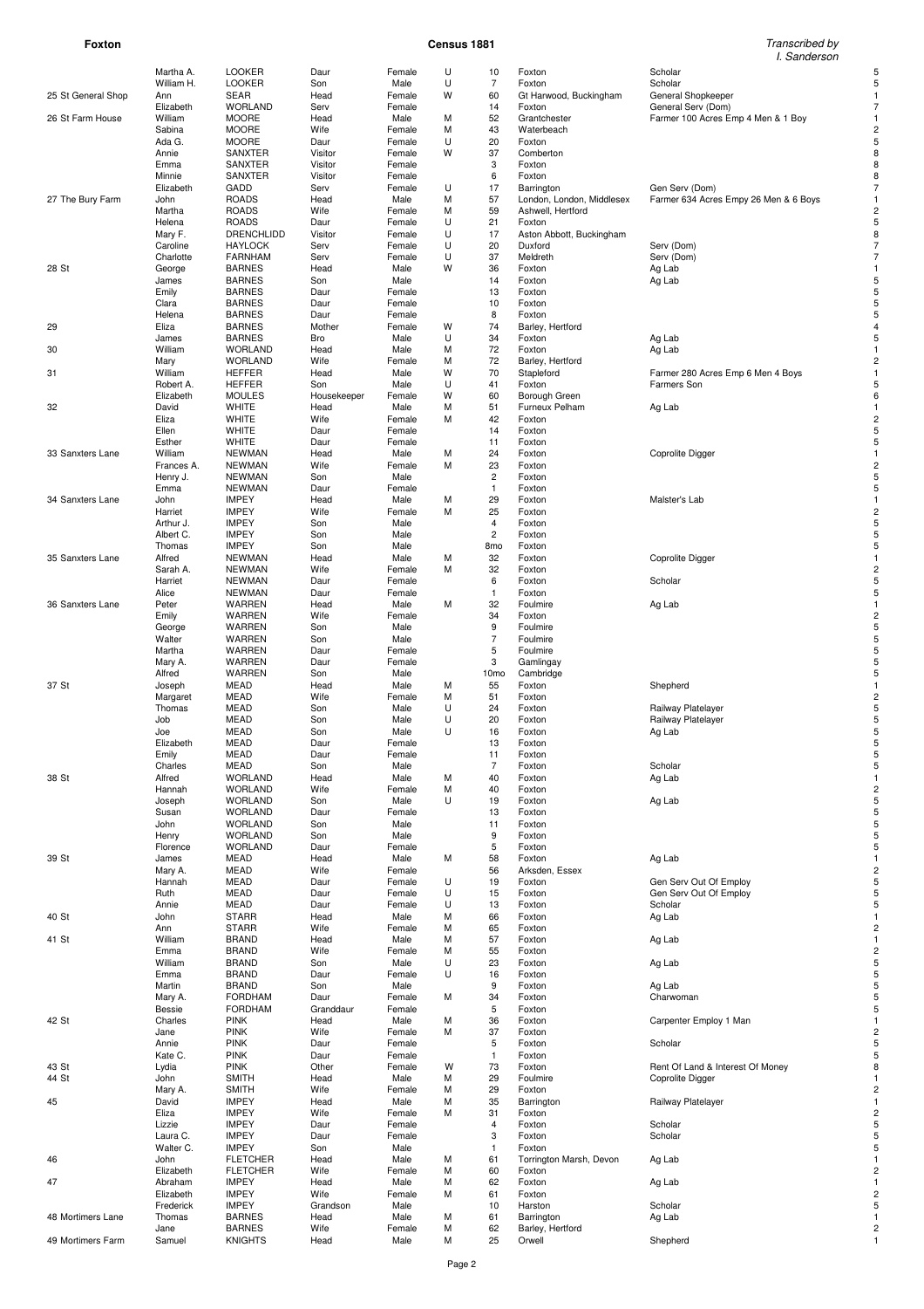# **Foxton Census 1881** Transcribed by

| Transcribed by |  |
|----------------|--|
| l. Sanderson   |  |

|                    | Martha A.     | <b>LOOKER</b>   | Daur        | Female | U | 10               | Foxton                    | Scholar                               |                |
|--------------------|---------------|-----------------|-------------|--------|---|------------------|---------------------------|---------------------------------------|----------------|
|                    | William H.    | <b>LOOKER</b>   | Son         | Male   | U | 7                | Foxton                    | Scholar                               | 5              |
| 25 St General Shop | Ann           | <b>SEAR</b>     | Head        | Female | W | 60               | Gt Harwood, Buckingham    | General Shopkeeper                    | $\mathbf{1}$   |
|                    | Elizabeth     | <b>WORLAND</b>  | Serv        | Female |   | 14               | Foxton                    | General Serv (Dom)                    |                |
| 26 St Farm House   | William       | <b>MOORE</b>    | Head        | Male   | M | 52               | Grantchester              | Farmer 100 Acres Emp 4 Men & 1 Boy    |                |
|                    | Sabina        | <b>MOORE</b>    | Wife        | Female | M | 43               | Waterbeach                |                                       |                |
|                    | Ada G.        | <b>MOORE</b>    | Daur        | Female | U | 20               | Foxton                    |                                       | 5              |
|                    | Annie         | SANXTER         | Visitor     | Female | W | 37               | Comberton                 |                                       | 8              |
|                    | Emma          | SANXTER         | Visitor     | Female |   | 3                | Foxton                    |                                       | 8              |
|                    |               |                 |             |        |   | 6                |                           |                                       | 8              |
|                    | Minnie        | SANXTER         | Visitor     | Female |   |                  | Foxton                    |                                       |                |
|                    | Elizabeth     | GADD            | Serv        | Female | U | 17               | Barrington                | Gen Serv (Dom)                        |                |
| 27 The Bury Farm   | John          | <b>ROADS</b>    | Head        | Male   | M | 57               | London, London, Middlesex | Farmer 634 Acres Empy 26 Men & 6 Boys |                |
|                    | Martha        | <b>ROADS</b>    | Wife        | Female | M | 59               | Ashwell, Hertford         |                                       |                |
|                    | Helena        | <b>ROADS</b>    | Daur        | Female | U | 21               | Foxton                    |                                       | 5              |
|                    | Mary F.       | DRENCHLIDD      | Visitor     | Female | U | 17               | Aston Abbott, Buckingham  |                                       | 8              |
|                    | Caroline      | <b>HAYLOCK</b>  | Serv        | Female | U | 20               | Duxford                   | Serv (Dom)                            | $\overline{7}$ |
|                    | Charlotte     | <b>FARNHAM</b>  | Serv        | Female | U | 37               | Meldreth                  | Serv (Dom)                            |                |
| 28 St              | George        | <b>BARNES</b>   | Head        | Male   | W | 36               | Foxton                    | Ag Lab                                |                |
|                    |               |                 |             |        |   | 14               |                           |                                       |                |
|                    | James         | <b>BARNES</b>   | Son         | Male   |   |                  | Foxton                    | Ag Lab                                |                |
|                    | Emily         | <b>BARNES</b>   | Daur        | Female |   | 13               | Foxton                    |                                       | 5              |
|                    | Clara         | <b>BARNES</b>   | Daur        | Female |   | 10               | Foxton                    |                                       |                |
|                    | Helena        | <b>BARNES</b>   | Daur        | Female |   | 8                | Foxton                    |                                       | 5              |
| 29                 | Eliza         | <b>BARNES</b>   | Mother      | Female | W | 74               | Barley, Hertford          |                                       |                |
|                    | James         | <b>BARNES</b>   | Bro         | Male   | U | 34               | Foxton                    | Ag Lab                                | 5              |
| 30                 | William       | <b>WORLAND</b>  | Head        | Male   | M | 72               | Foxton                    | Ag Lab                                |                |
|                    | Mary          | <b>WORLAND</b>  | Wife        | Female | M | 72               | Barley, Hertford          |                                       |                |
| 31                 | William       | <b>HEFFER</b>   | Head        | Male   | W | 70               | Stapleford                | Farmer 280 Acres Emp 6 Men 4 Boys     |                |
|                    | Robert A.     | <b>HEFFER</b>   | Son         | Male   | U | 41               | Foxton                    | Farmers Son                           | 5              |
|                    | Elizabeth     | <b>MOULES</b>   | Housekeeper | Female | W | 60               | Borough Green             |                                       | 6              |
|                    |               |                 |             |        |   |                  |                           |                                       |                |
| 32                 | David         | <b>WHITE</b>    | Head        | Male   | M | 51               | Furneux Pelham            | Ag Lab                                |                |
|                    | Eliza         | <b>WHITE</b>    | Wife        | Female | M | 42               | Foxton                    |                                       |                |
|                    | Ellen         | <b>WHITE</b>    | Daur        | Female |   | 14               | Foxton                    |                                       | 5              |
|                    | Esther        | <b>WHITE</b>    | Daur        | Female |   | 11               | Foxton                    |                                       | 5              |
| 33 Sanxters Lane   | William       | <b>NEWMAN</b>   | Head        | Male   | M | 24               | Foxton                    | Coprolite Digger                      |                |
|                    | Frances A.    | <b>NEWMAN</b>   | Wife        | Female | M | 23               | Foxton                    |                                       |                |
|                    | Henry J.      | <b>NEWMAN</b>   | Son         | Male   |   | $\overline{c}$   | Foxton                    |                                       |                |
|                    | Emma          | <b>NEWMAN</b>   | Daur        | Female |   | $\mathbf{1}$     | Foxton                    |                                       | 5              |
|                    |               | <b>IMPEY</b>    | Head        | Male   | M | 29               | Foxton                    |                                       |                |
| 34 Sanxters Lane   | John          |                 |             |        |   |                  |                           | Malster's Lab                         |                |
|                    | Harriet       | <b>IMPEY</b>    | Wife        | Female | M | 25               | Foxton                    |                                       |                |
|                    | Arthur J.     | <b>IMPEY</b>    | Son         | Male   |   | 4                | Foxton                    |                                       |                |
|                    | Albert C.     | <b>IMPEY</b>    | Son         | Male   |   | $\overline{c}$   | Foxton                    |                                       | 5              |
|                    | Thomas        | <b>IMPEY</b>    | Son         | Male   |   | 8 <sub>mo</sub>  | Foxton                    |                                       | 5              |
| 35 Sanxters Lane   | Alfred        | <b>NEWMAN</b>   | Head        | Male   | M | 32               | Foxton                    | Coprolite Digger                      |                |
|                    | Sarah A.      | <b>NEWMAN</b>   | Wife        | Female | M | 32               | Foxton                    |                                       |                |
|                    | Harriet       | <b>NEWMAN</b>   | Daur        | Female |   | 6                | Foxton                    | Scholar                               | 5              |
|                    | Alice         | <b>NEWMAN</b>   | Daur        | Female |   | $\mathbf{1}$     | Foxton                    |                                       |                |
| 36 Sanxters Lane   | Peter         | <b>WARREN</b>   | Head        | Male   | M | 32               | Foulmire                  |                                       |                |
|                    |               |                 |             |        |   |                  |                           | Ag Lab                                |                |
|                    | Emily         | WARREN          | Wife        | Female |   | 34               | Foxton                    |                                       |                |
|                    | George        | WARREN          | Son         | Male   |   | 9                | Foulmire                  |                                       | 5              |
|                    | Walter        | WARREN          | Son         | Male   |   | 7                | Foulmire                  |                                       | 5              |
|                    | Martha        | WARREN          | Daur        | Female |   | 5                | Foulmire                  |                                       | 5              |
|                    | Mary A.       | <b>WARREN</b>   | Daur        | Female |   | 3                | Gamlingay                 |                                       |                |
|                    | Alfred        | <b>WARREN</b>   | Son         | Male   |   | 10 <sub>mo</sub> | Cambridge                 |                                       | 5              |
| 37 St              | Joseph        | MEAD            | Head        | Male   | M | 55               | Foxton                    | Shepherd                              |                |
|                    | Margaret      | <b>MEAD</b>     | Wife        | Female | M | 51               | Foxton                    |                                       |                |
|                    | Thomas        | MEAD            | Son         | Male   | U | 24               | Foxton                    | Railway Platelayer                    | 5              |
|                    |               |                 |             |        |   |                  |                           |                                       | 5              |
|                    | Job           | <b>MEAD</b>     | Son         | Male   | U | 20               | Foxton                    | Railway Platelayer                    |                |
|                    | Joe           | <b>MEAD</b>     | Son         | Male   | U | 16               | Foxton                    | Ag Lab                                | 5              |
|                    | Elizabeth     | <b>MEAD</b>     | Daur        | Female |   | 13               | Foxton                    |                                       | 5              |
|                    | Emily         | <b>MEAD</b>     | Daur        | Female |   | 11               | Foxton                    |                                       | 5              |
|                    | Charles       | <b>MEAD</b>     | Son         | Male   |   | $\overline{7}$   | Foxton                    | Scholar                               |                |
| 38 St              | Alfred        | <b>WORLAND</b>  | Head        | Male   | M | 40               | Foxton                    | Ag Lab                                |                |
|                    | Hannah        | <b>WORLAND</b>  | Wife        | Female | M | 40               | Foxton                    |                                       |                |
|                    | Joseph        | <b>WORLAND</b>  | Son         | Male   | U | 19               | Foxton                    | Ag Lab                                |                |
|                    | Susan         | <b>WORLAND</b>  | Daur        | Female |   | 13               | Foxton                    |                                       |                |
|                    |               | <b>WORLAND</b>  |             |        |   |                  |                           |                                       |                |
|                    | John          |                 | Son         | Male   |   | 11               | Foxton                    |                                       |                |
|                    | Henry         | <b>WORLAND</b>  | Son         | Male   |   |                  |                           |                                       |                |
|                    | Florence      | <b>WORLAND</b>  | Daur        |        |   | 9                | Foxton                    |                                       |                |
| 39 St              | James         |                 |             | Female |   | 5                | Foxton                    |                                       |                |
|                    |               | MEAD            | Head        | Male   | M | 58               | Foxton                    | Ag Lab                                |                |
|                    | Mary A.       | MEAD            | Wife        | Female |   | 56               | Arksden, Essex            |                                       |                |
|                    | Hannah        | <b>MEAD</b>     | Daur        | Female | U | 19               | Foxton                    | Gen Serv Out Of Employ                |                |
|                    | Ruth          | <b>MEAD</b>     | Daur        | Female | U | 15               | Foxton                    | Gen Serv Out Of Employ                |                |
|                    | Annie         | <b>MEAD</b>     | Daur        | Female | U | 13               | Foxton                    | Scholar                               |                |
| 40 St              | John          | <b>STARR</b>    | Head        | Male   | M | 66               | Foxton                    |                                       |                |
|                    |               |                 |             |        |   |                  |                           | Ag Lab                                |                |
|                    | Ann           | <b>STARR</b>    | Wife        | Female | M | 65               | Foxton                    |                                       |                |
| 41 St              | William       | <b>BRAND</b>    | Head        | Male   | M | 57               | Foxton                    | Ag Lab                                |                |
|                    | Emma          | <b>BRAND</b>    | Wife        | Female | M | 55               | Foxton                    |                                       |                |
|                    | William       | <b>BRAND</b>    | Son         | Male   | U | 23               | Foxton                    | Ag Lab                                |                |
|                    | Emma          | <b>BRAND</b>    | Daur        | Female | U | 16               | Foxton                    |                                       |                |
|                    | Martin        | <b>BRAND</b>    | Son         | Male   |   | 9                | Foxton                    | Ag Lab                                |                |
|                    | Mary A.       | <b>FORDHAM</b>  | Daur        | Female | M | 34               | Foxton                    | Charwoman                             |                |
|                    | <b>Bessie</b> | <b>FORDHAM</b>  | Granddaur   | Female |   | 5                | Foxton                    |                                       | 5              |
| 42 St              | Charles       | <b>PINK</b>     | Head        | Male   | M | 36               | Foxton                    | Carpenter Employ 1 Man                |                |
|                    |               |                 |             |        | M |                  |                           |                                       | 2              |
|                    | Jane          | <b>PINK</b>     | Wife        | Female |   | 37               | Foxton                    |                                       |                |
|                    | Annie         | <b>PINK</b>     | Daur        | Female |   | 5                | Foxton                    | Scholar                               | 5              |
|                    | Kate C.       | <b>PINK</b>     | Daur        | Female |   | $\mathbf{1}$     | Foxton                    |                                       | 5              |
| 43 St              | Lydia         | <b>PINK</b>     | Other       | Female | W | 73               | Foxton                    | Rent Of Land & Interest Of Money      | 8              |
| 44 St              | John          | <b>SMITH</b>    | Head        | Male   | M | 29               | Foulmire                  | Coprolite Digger                      |                |
|                    | Mary A.       | <b>SMITH</b>    | Wife        | Female | M | 29               | Foxton                    |                                       |                |
| 45                 | David         | <b>IMPEY</b>    | Head        | Male   | M | 35               | Barrington                | Railway Platelayer                    |                |
|                    | Eliza         | <b>IMPEY</b>    | Wife        | Female | M | 31               | Foxton                    |                                       |                |
|                    | Lizzie        | <b>IMPEY</b>    | Daur        | Female |   | 4                | Foxton                    | Scholar                               |                |
|                    |               |                 |             |        |   |                  |                           |                                       |                |
|                    | Laura C.      | <b>IMPEY</b>    | Daur        | Female |   | 3                | Foxton                    | Scholar                               |                |
|                    | Walter C.     | <b>IMPEY</b>    | Son         | Male   |   | $\mathbf{1}$     | Foxton                    |                                       |                |
| 46                 | John          | <b>FLETCHER</b> | Head        | Male   | M | 61               | Torrington Marsh, Devon   | Ag Lab                                |                |
|                    | Elizabeth     | <b>FLETCHER</b> | Wife        | Female | M | 60               | Foxton                    |                                       |                |
| 47                 | Abraham       | <b>IMPEY</b>    | Head        | Male   | M | 62               | Foxton                    | Ag Lab                                |                |
|                    | Elizabeth     | <b>IMPEY</b>    | Wife        | Female | M | 61               | Foxton                    |                                       |                |
|                    | Frederick     | <b>IMPEY</b>    | Grandson    | Male   |   | 10               | Harston                   | Scholar                               | 5              |
| 48 Mortimers Lane  | Thomas        | <b>BARNES</b>   | Head        | Male   | М | 61               | Barrington                | Ag Lab                                |                |
|                    | Jane          | <b>BARNES</b>   | Wife        | Female | М | 62               | Barley, Hertford          |                                       | 2              |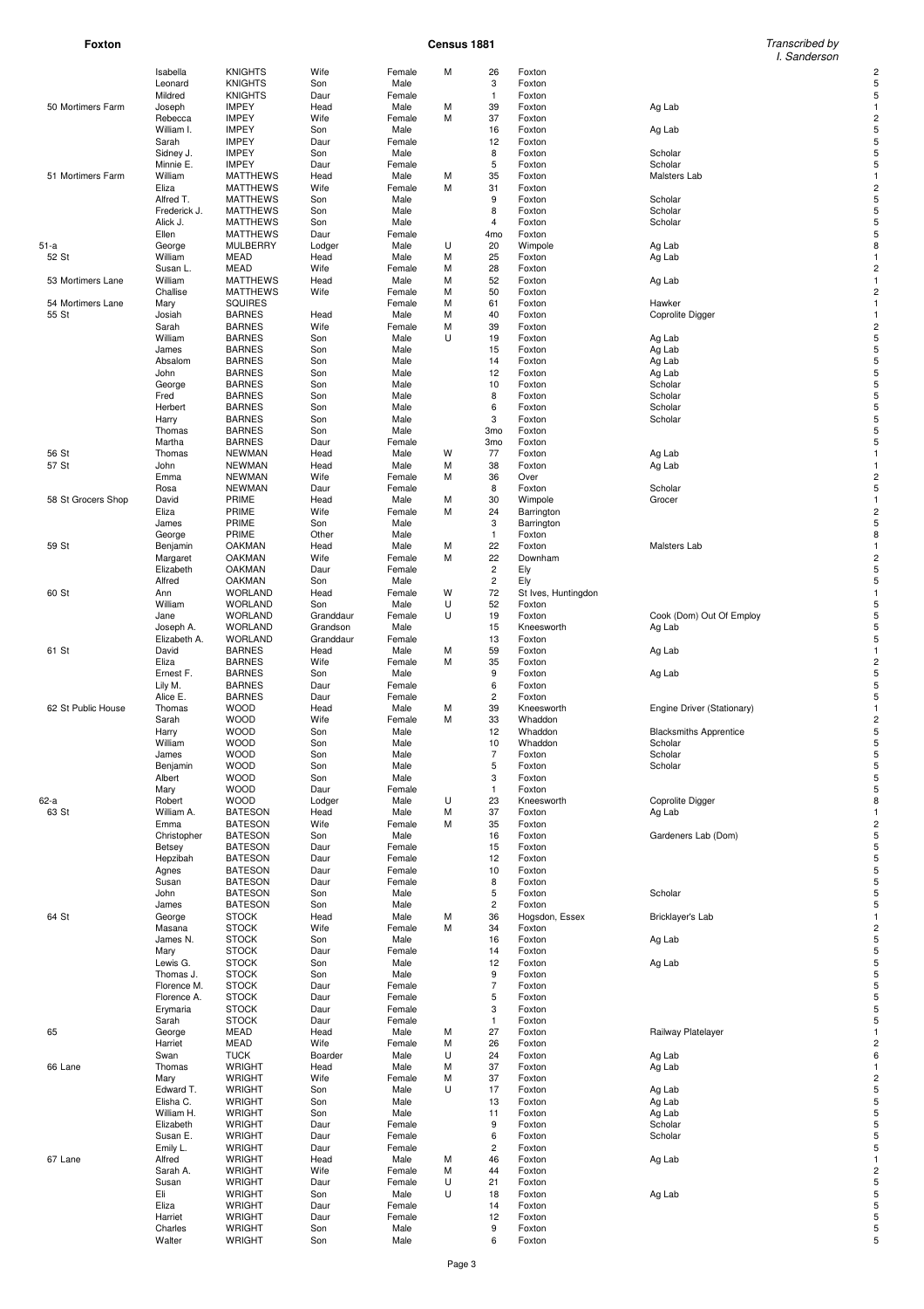**Foxton Census 1881** Transcribed by I. Sanderson

|                    | Isabella        | <b>KNIGHTS</b>                 | Wife        | Female         | M |                               |                          |                               |                |
|--------------------|-----------------|--------------------------------|-------------|----------------|---|-------------------------------|--------------------------|-------------------------------|----------------|
|                    | Leonard         | <b>KNIGHTS</b>                 | Son         | Male           |   | 26<br>3                       | Foxton<br>Foxton         |                               |                |
|                    | Mildred         | <b>KNIGHTS</b>                 | Daur        | Female         |   | $\mathbf{1}$                  | Foxton                   |                               | 5              |
| 50 Mortimers Farm  | Joseph          | <b>IMPEY</b>                   | Head        | Male           | М | 39                            | Foxton                   | Ag Lab                        |                |
|                    | Rebecca         | <b>IMPEY</b>                   | Wife        | Female         | M | 37                            | Foxton                   |                               |                |
|                    | William I.      | <b>IMPEY</b>                   | Son         | Male           |   | 16                            | Foxton                   | Ag Lab                        |                |
|                    | Sarah           | <b>IMPEY</b>                   | Daur        | Female         |   | 12                            | Foxton                   |                               |                |
|                    | Sidney J.       | <b>IMPEY</b>                   | Son         | Male           |   | 8                             | Foxton                   | Scholar                       | 5              |
|                    | Minnie E.       | <b>IMPEY</b>                   | Daur        | Female         |   | 5                             | Foxton                   | Scholar                       |                |
| 51 Mortimers Farm  | William         | <b>MATTHEWS</b>                | Head        | Male           | М | 35                            | Foxton                   | Malsters Lab                  |                |
|                    | Eliza           | <b>MATTHEWS</b>                | Wife        | Female         | M | 31                            | Foxton                   |                               |                |
|                    | Alfred T.       | <b>MATTHEWS</b>                | Son         | Male           |   | 9                             | Foxton                   | Scholar                       | 5              |
|                    | Frederick J.    | <b>MATTHEWS</b>                | Son         | Male           |   | 8                             | Foxton                   | Scholar                       |                |
|                    | Alick J.        | <b>MATTHEWS</b>                | Son         | Male           |   | 4                             | Foxton                   | Scholar                       |                |
|                    | Ellen           | <b>MATTHEWS</b>                | Daur        | Female         |   | 4 <sub>mo</sub>               | Foxton                   |                               |                |
| 51-a               | George          | MULBERRY                       | Lodger      | Male           | U | 20                            | Wimpole                  | Ag Lab                        | 8              |
| 52 St              | William         | MEAD                           | Head        | Male           | M | 25                            | Foxton                   | Ag Lab                        |                |
|                    | Susan L.        | <b>MEAD</b>                    | Wife        | Female         | M | 28                            | Foxton                   |                               |                |
| 53 Mortimers Lane  | William         | <b>MATTHEWS</b>                | Head        | Male           | M | 52                            | Foxton                   | Ag Lab                        |                |
|                    | Challise        | <b>MATTHEWS</b>                | Wife        | Female         | M | 50                            | Foxton                   |                               |                |
| 54 Mortimers Lane  | Mary            | <b>SQUIRES</b>                 |             | Female         | M | 61                            | Foxton                   | Hawker                        |                |
| 55 St              | Josiah          | <b>BARNES</b>                  | Head        | Male           | M | 40                            | Foxton                   | Coprolite Digger              |                |
|                    | Sarah           | <b>BARNES</b>                  | Wife        | Female         | M | 39                            | Foxton                   |                               |                |
|                    | William         | <b>BARNES</b>                  | Son         | Male           | U | 19                            | Foxton                   | Ag Lab                        |                |
|                    | James           | <b>BARNES</b>                  | Son         | Male           |   | 15                            | Foxton                   | Ag Lab                        |                |
|                    | Absalom         | <b>BARNES</b>                  | Son         | Male           |   | 14                            | Foxton                   | Ag Lab                        |                |
|                    | John            | <b>BARNES</b>                  | Son         | Male           |   | 12                            | Foxton                   | Ag Lab                        |                |
|                    | George          | <b>BARNES</b><br><b>BARNES</b> | Son         | Male           |   | 10<br>8                       | Foxton                   | Scholar                       | 5              |
|                    | Fred<br>Herbert | <b>BARNES</b>                  | Son<br>Son  | Male<br>Male   |   | 6                             | Foxton<br>Foxton         | Scholar<br>Scholar            |                |
|                    |                 | <b>BARNES</b>                  | Son         | Male           |   | 3                             | Foxton                   | Scholar                       |                |
|                    | Harry<br>Thomas | <b>BARNES</b>                  | Son         | Male           |   | 3 <sub>mo</sub>               | Foxton                   |                               |                |
|                    | Martha          | <b>BARNES</b>                  | Daur        | Female         |   | 3 <sub>mo</sub>               | Foxton                   |                               | 5              |
| 56 St              | Thomas          | <b>NEWMAN</b>                  | Head        | Male           | W | 77                            | Foxton                   | Ag Lab                        |                |
| 57 St              | John            | <b>NEWMAN</b>                  | Head        | Male           | M | 38                            | Foxton                   | Ag Lab                        |                |
|                    | Emma            | <b>NEWMAN</b>                  | Wife        | Female         | M | 36                            | Over                     |                               |                |
|                    | Rosa            | <b>NEWMAN</b>                  | Daur        | Female         |   | 8                             | Foxton                   | Scholar                       | 5              |
| 58 St Grocers Shop | David           | PRIME                          | Head        | Male           | M | 30                            | Wimpole                  | Grocer                        |                |
|                    | Eliza           | PRIME                          | Wife        | Female         | M | 24                            | Barrington               |                               |                |
|                    | James           | PRIME                          | Son         | Male           |   | 3                             | Barrington               |                               |                |
|                    | George          | PRIME                          | Other       | Male           |   | $\mathbf{1}$                  | Foxton                   |                               | 8              |
| 59 St              | Benjamin        | <b>OAKMAN</b>                  | Head        | Male           | M | 22                            | Foxton                   | Malsters Lab                  |                |
|                    | Margaret        | <b>OAKMAN</b>                  | Wife        | Female         | M | 22                            | Downham                  |                               |                |
|                    | Elizabeth       | <b>OAKMAN</b>                  | Daur        | Female         |   | 2                             | Ely                      |                               |                |
|                    | Alfred          | <b>OAKMAN</b>                  | Son         | Male           |   | $\mathbf 2$                   | Ely                      |                               | 5              |
| 60 St              | Ann             | <b>WORLAND</b>                 | Head        | Female         | W | 72                            | St Ives, Huntingdon      |                               |                |
|                    | William         | <b>WORLAND</b>                 | Son         | Male           | U | 52                            | Foxton                   |                               | 5              |
|                    | Jane            | <b>WORLAND</b>                 | Granddaur   | Female         | U | 19                            | Foxton                   | Cook (Dom) Out Of Employ      |                |
|                    | Joseph A.       | <b>WORLAND</b>                 | Grandson    | Male           |   | 15                            | Kneesworth               | Ag Lab                        |                |
|                    | Elizabeth A.    | <b>WORLAND</b>                 | Granddaur   | Female         |   | 13                            | Foxton                   |                               |                |
| 61 St              | David           | <b>BARNES</b>                  | Head        | Male           | M | 59                            | Foxton                   | Ag Lab                        |                |
|                    | Eliza           | <b>BARNES</b>                  | Wife        | Female         | M | 35                            | Foxton                   |                               |                |
|                    | Ernest F.       | <b>BARNES</b>                  | Son         | Male           |   | 9                             | Foxton                   | Ag Lab                        |                |
|                    | Lily M.         | <b>BARNES</b>                  | Daur        | Female         |   | 6                             | Foxton                   |                               | 5              |
|                    | Alice E.        | <b>BARNES</b>                  | Daur        | Female         |   | 2                             | Foxton                   |                               |                |
| 62 St Public House | Thomas          | <b>WOOD</b>                    | Head        | Male           | M | 39                            | Kneesworth               | Engine Driver (Stationary)    |                |
|                    | Sarah           | <b>WOOD</b>                    | Wife        | Female         | M | 33                            | Whaddon                  |                               |                |
|                    | Harry           | <b>WOOD</b>                    | Son         | Male           |   | 12                            | Whaddon                  | <b>Blacksmiths Apprentice</b> | 5              |
|                    | William         | <b>WOOD</b>                    | Son         | Male           |   | 10                            | Whaddon                  | Scholar                       | 5              |
|                    | James           | <b>WOOD</b>                    | Son         | Male           |   | $\overline{7}$                | Foxton                   | Scholar                       | 5              |
|                    | Benjamin        | <b>WOOD</b>                    | Son         | Male           |   | 5                             | Foxton                   | Scholar                       |                |
|                    | Albert          | <b>WOOD</b>                    | Son         | Male           |   | 3                             | Foxton                   |                               | 5              |
|                    | Mary            | <b>WOOD</b>                    | Daur        | Female         |   | $\mathbf{1}$                  | Foxton                   |                               | 5              |
| 62-a               | Robert          | <b>WOOD</b>                    | Lodger      | Male           | U | 23                            | Kneesworth               | Coprolite Digger              | 8              |
| 63 St              | William A.      | <b>BATESON</b>                 | Head        | Male           | M | 37                            | Foxton                   | Ag Lab                        |                |
|                    | Emma            | <b>BATESON</b>                 | Wife        | Female         | M | 35                            | Foxton                   |                               | 2              |
|                    | Christopher     | <b>BATESON</b>                 | Son         | Male           |   | 16                            | Foxton                   | Gardeners Lab (Dom)           | 5              |
|                    | Betsey          | <b>BATESON</b>                 | Daur        | Female         |   | 15                            | Foxton                   |                               | 5              |
|                    | Hepzibah        | <b>BATESON</b>                 | Daur        | Female         |   | 12                            | Foxton                   |                               | 5              |
|                    | Agnes           | <b>BATESON</b>                 | Daur        | Female         |   | 10                            | Foxton                   |                               | 5              |
|                    | Susan           | <b>BATESON</b>                 | Daur        | Female         |   | 8                             | Foxton                   |                               | 5              |
|                    | John            | <b>BATESON</b>                 | Son         | Male           |   | 5                             | Foxton                   | Scholar                       | 5              |
| 64 St              | James<br>George | <b>BATESON</b><br><b>STOCK</b> | Son<br>Head | Male           | М | $\overline{\mathbf{c}}$<br>36 | Foxton<br>Hogsdon, Essex | Bricklayer's Lab              | 5              |
|                    | Masana          | <b>STOCK</b>                   | Wife        | Male<br>Female | M | 34                            | Foxton                   |                               | $\overline{c}$ |
|                    | James N.        | <b>STOCK</b>                   | Son         | Male           |   | 16                            | Foxton                   | Ag Lab                        |                |
|                    | Mary            | <b>STOCK</b>                   | Daur        | Female         |   | 14                            | Foxton                   |                               |                |
|                    | Lewis G.        | <b>STOCK</b>                   | Son         | Male           |   | 12                            | Foxton                   | Ag Lab                        |                |
|                    | Thomas J.       | <b>STOCK</b>                   | Son         | Male           |   | 9                             | Foxton                   |                               | 5              |
|                    | Florence M.     | <b>STOCK</b>                   | Daur        | Female         |   | $\overline{\phantom{a}}$      | Foxton                   |                               | 5              |
|                    | Florence A.     | <b>STOCK</b>                   | Daur        | Female         |   | 5                             | Foxton                   |                               | 5              |
|                    | Erymaria        | <b>STOCK</b>                   | Daur        | Female         |   | 3                             | Foxton                   |                               | 5              |
|                    | Sarah           | <b>STOCK</b>                   | Daur        | Female         |   | $\mathbf{1}$                  | Foxton                   |                               | 5              |
| 65                 | George          | MEAD                           | Head        | Male           | M | 27                            | Foxton                   | Railway Platelayer            |                |
|                    | Harriet         | MEAD                           | Wife        | Female         | M | 26                            | Foxton                   |                               |                |
|                    | Swan            | <b>TUCK</b>                    | Boarder     | Male           | U | 24                            | Foxton                   | Ag Lab                        | 6              |
| 66 Lane            | Thomas          | <b>WRIGHT</b>                  | Head        | Male           | М | 37                            | Foxton                   | Ag Lab                        |                |
|                    | Mary            | <b>WRIGHT</b>                  | Wife        | Female         | М | 37                            | Foxton                   |                               |                |
|                    | Edward T.       | <b>WRIGHT</b>                  | Son         | Male           | U | 17                            | Foxton                   | Ag Lab                        | 5              |
|                    | Elisha C.       | <b>WRIGHT</b>                  | Son         | Male           |   | 13                            | Foxton                   | Ag Lab                        | 5              |
|                    | William H.      | <b>WRIGHT</b>                  | Son         | Male           |   | 11                            | Foxton                   | Ag Lab                        | 5              |
|                    | Elizabeth       | <b>WRIGHT</b>                  | Daur        | Female         |   | 9                             | Foxton                   | Scholar                       | 5              |
|                    | Susan E.        | <b>WRIGHT</b>                  | Daur        | Female         |   | 6                             | Foxton                   | Scholar                       | 5              |
|                    | Emily L.        | <b>WRIGHT</b>                  | Daur        | Female         |   | $\overline{\mathbf{c}}$       | Foxton                   |                               | 5              |
| 67 Lane            | Alfred          | <b>WRIGHT</b>                  | Head        | Male           | M | 46                            | Foxton                   | Ag Lab                        |                |
|                    | Sarah A.        | <b>WRIGHT</b>                  | Wife        | Female         | M | 44                            | Foxton                   |                               |                |
|                    | Susan           | <b>WRIGHT</b>                  | Daur        | Female         | U | 21                            | Foxton                   |                               | 5              |
|                    | Eli             | <b>WRIGHT</b>                  | Son         | Male           | U | 18                            | Foxton                   | Ag Lab                        | 5              |
|                    | Eliza           | <b>WRIGHT</b>                  | Daur        | Female         |   | 14                            | Foxton                   |                               | 5              |
|                    | Harriet         | <b>WRIGHT</b>                  | Daur        | Female         |   | 12                            | Foxton                   |                               | 5              |
|                    | Charles         | <b>WRIGHT</b>                  | Son         | Male<br>Male   |   | 9<br>6                        | Foxton                   |                               | 5<br>5         |
|                    | Walter          | <b>WRIGHT</b>                  | Son         |                |   |                               | Foxton                   |                               |                |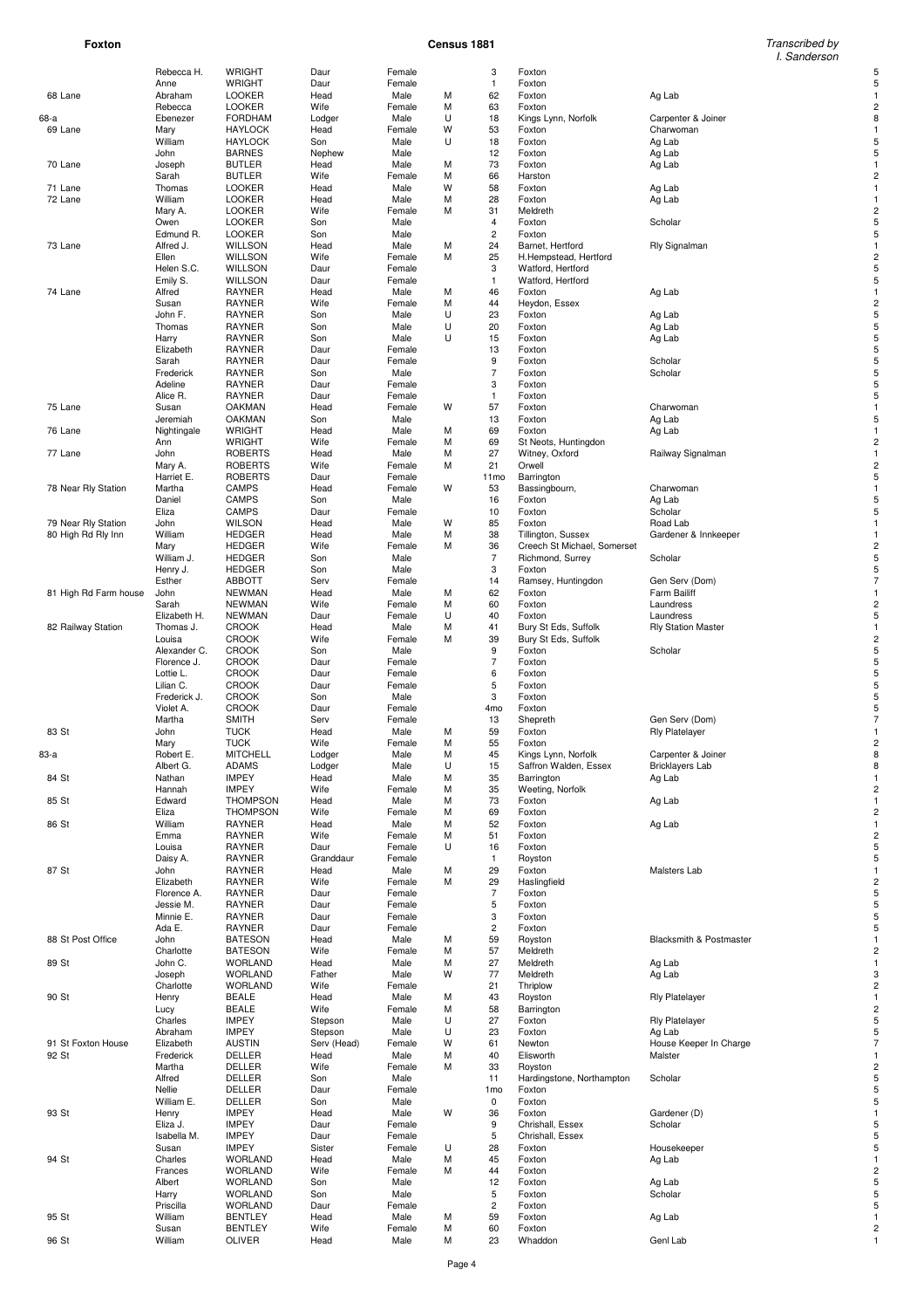**Foxton Census 1881** Transcribed by I. Sanderson

| 68 Lane |                                           | Rebecca H.               | WRIGHT                           | Daur                   | Female           |        | 3                   | Foxton                       |                                  |   |
|---------|-------------------------------------------|--------------------------|----------------------------------|------------------------|------------------|--------|---------------------|------------------------------|----------------------------------|---|
|         |                                           | Anne<br>Abraham          | WRIGHT<br><b>LOOKER</b>          | Daur<br>Head           | Female<br>Male   | М      | $\mathbf{1}$<br>62  | Foxton<br>Foxton             | Ag Lab                           | 5 |
|         |                                           | Rebecca                  | <b>LOOKER</b>                    | Wife                   | Female           | М      | 63                  | Foxton                       |                                  | 2 |
| 68-a    |                                           | Ebenezer                 | <b>FORDHAM</b>                   | Lodger                 | Male             | U      | 18                  | Kings Lynn, Norfolk          | Carpenter & Joiner               |   |
| 69 Lane |                                           | Mary                     | <b>HAYLOCK</b>                   | Head                   | Female           | W      | 53                  | Foxton                       | Charwoman                        |   |
|         |                                           | William                  | <b>HAYLOCK</b>                   | Son                    | Male             | U      | 18                  | Foxton                       | Ag Lab                           |   |
|         |                                           | John                     | <b>BARNES</b><br><b>BUTLER</b>   | Nephew                 | Male             |        | 12                  | Foxton                       | Ag Lab                           |   |
| 70 Lane |                                           | Joseph<br>Sarah          | <b>BUTLER</b>                    | Head<br>Wife           | Male<br>Female   | М<br>М | 73<br>66            | Foxton<br>Harston            | Ag Lab                           |   |
| 71 Lane |                                           | Thomas                   | <b>LOOKER</b>                    | Head                   | Male             | w      | 58                  | Foxton                       | Ag Lab                           |   |
| 72 Lane |                                           | William                  | <b>LOOKER</b>                    | Head                   | Male             | М      | 28                  | Foxton                       | Ag Lab                           |   |
|         |                                           | Mary A.                  | <b>LOOKER</b>                    | Wife                   | Female           | М      | 31                  | Meldreth                     |                                  |   |
|         |                                           | Owen                     | <b>LOOKER</b>                    | Son                    | Male             |        | 4                   | Foxton                       | Scholar                          |   |
| 73 Lane |                                           | Edmund R.<br>Alfred J.   | <b>LOOKER</b><br><b>WILLSON</b>  | Son<br>Head            | Male<br>Male     | М      | 2<br>24             | Foxton<br>Barnet, Hertford   | Rly Signalman                    | 5 |
|         |                                           | Ellen                    | <b>WILLSON</b>                   | Wife                   | Female           | М      | 25                  | H.Hempstead, Hertford        |                                  |   |
|         |                                           | Helen S.C.               | <b>WILLSON</b>                   | Daur                   | Female           |        | 3                   | Watford, Hertford            |                                  |   |
|         |                                           | Emily S.                 | <b>WILLSON</b>                   | Daur                   | Female           |        | $\mathbf{1}$        | Watford, Hertford            |                                  |   |
| 74 Lane |                                           | Alfred                   | RAYNER                           | Head                   | Male             | М      | 46                  | Foxton                       | Ag Lab                           |   |
|         |                                           | Susan<br>John F.         | <b>RAYNER</b><br><b>RAYNER</b>   | Wife                   | Female           | М<br>U | 44<br>23            | Heydon, Essex                |                                  |   |
|         |                                           | Thomas                   | <b>RAYNER</b>                    | Son<br>Son             | Male<br>Male     | U      | 20                  | Foxton<br>Foxton             | Ag Lab<br>Ag Lab                 |   |
|         |                                           | Harry                    | <b>RAYNER</b>                    | Son                    | Male             | U      | 15                  | Foxton                       | Ag Lab                           |   |
|         |                                           | Elizabeth                | <b>RAYNER</b>                    | Daur                   | Female           |        | 13                  | Foxton                       |                                  |   |
|         |                                           | Sarah                    | <b>RAYNER</b>                    | Daur                   | Female           |        | 9                   | Foxton                       | Scholar                          |   |
|         |                                           | Frederick                | <b>RAYNER</b>                    | Son                    | Male             |        | $\overline{7}$      | Foxton                       | Scholar                          |   |
|         |                                           | Adeline<br>Alice R.      | <b>RAYNER</b><br><b>RAYNER</b>   | Daur<br>Daur           | Female<br>Female |        | 3<br>$\mathbf{1}$   | Foxton<br>Foxton             |                                  |   |
| 75 Lane |                                           | Susan                    | <b>OAKMAN</b>                    | Head                   | Female           | W      | 57                  | Foxton                       | Charwoman                        |   |
|         |                                           | Jeremiah                 | <b>OAKMAN</b>                    | Son                    | Male             |        | 13                  | Foxton                       | Ag Lab                           |   |
| 76 Lane |                                           | Nightingale              | <b>WRIGHT</b>                    | Head                   | Male             | М      | 69                  | Foxton                       | Ag Lab                           |   |
|         |                                           | Ann                      | WRIGHT                           | Wife                   | Female           | М      | 69                  | St Neots, Huntingdon         |                                  |   |
| 77 Lane |                                           | John<br>Mary A.          | <b>ROBERTS</b><br><b>ROBERTS</b> | Head<br>Wife           | Male<br>Female   | М<br>М | 27<br>21            | Witney, Oxford<br>Orwell     | Railway Signalman                |   |
|         |                                           | Harriet E.               | <b>ROBERTS</b>                   | Daur                   | Female           |        | 11mo                | Barrington                   |                                  |   |
|         | 78 Near Rly Station                       | Martha                   | <b>CAMPS</b>                     | Head                   | Female           | w      | 53                  | Bassingbourn,                | Charwoman                        |   |
|         |                                           | Daniel                   | <b>CAMPS</b>                     | Son                    | Male             |        | 16                  | Foxton                       | Ag Lab                           |   |
|         |                                           | Eliza                    | CAMPS                            | Daur                   | Female           |        | 10                  | Foxton                       | Scholar                          |   |
|         | 79 Near Rly Station<br>80 High Rd Rly Inn | John<br>William          | <b>WILSON</b><br><b>HEDGER</b>   | Head<br>Head           | Male<br>Male     | w<br>М | 85<br>38            | Foxton<br>Tillington, Sussex | Road Lab<br>Gardener & Innkeeper |   |
|         |                                           | Mary                     | <b>HEDGER</b>                    | Wife                   | Female           | М      | 36                  | Creech St Michael, Somerset  |                                  |   |
|         |                                           | William J.               | <b>HEDGER</b>                    | Son                    | Male             |        | $\overline{7}$      | Richmond, Surrey             | Scholar                          |   |
|         |                                           | Henry J.                 | <b>HEDGER</b>                    | Son                    | Male             |        | 3                   | Foxton                       |                                  | 5 |
|         |                                           | Esther                   | <b>ABBOTT</b>                    | Serv                   | Female           |        | 14                  | Ramsey, Huntingdon           | Gen Serv (Dom)                   |   |
|         | 81 High Rd Farm house                     | John<br>Sarah            | <b>NEWMAN</b><br><b>NEWMAN</b>   | Head<br>Wife           | Male<br>Female   | М<br>М | 62<br>60            | Foxton<br>Foxton             | Farm Bailiff<br>Laundress        |   |
|         |                                           | Elizabeth H.             | <b>NEWMAN</b>                    | Daur                   | Female           | U      | 40                  | Foxton                       | Laundress                        |   |
|         | 82 Railway Station                        | Thomas J.                | <b>CROOK</b>                     | Head                   | Male             | м      | 41                  | Bury St Eds, Suffolk         | <b>Rly Station Master</b>        |   |
|         |                                           | Louisa                   | <b>CROOK</b>                     | Wife                   | Female           | М      | 39                  | Bury St Eds, Suffolk         |                                  |   |
|         |                                           | Alexander C.             | <b>CROOK</b>                     | Son                    | Male             |        | 9                   | Foxton                       | Scholar                          |   |
|         |                                           | Florence J.<br>Lottie L. | <b>CROOK</b><br><b>CROOK</b>     | Daur<br>Daur           | Female<br>Female |        | $\overline{7}$<br>6 | Foxton<br>Foxton             |                                  |   |
|         |                                           | Lilian C.                | <b>CROOK</b>                     | Daur                   | Female           |        | 5                   | Foxton                       |                                  |   |
|         |                                           | Frederick J.             | <b>CROOK</b>                     | Son                    | Male             |        | 3                   | Foxton                       |                                  |   |
|         |                                           | Violet A.                | <b>CROOK</b>                     | Daur                   | Female           |        | 4mo                 | Foxton                       |                                  |   |
|         |                                           | Martha                   | <b>SMITH</b>                     | Serv                   | Female           |        | 13                  | Shepreth                     | Gen Serv (Dom)                   |   |
| 83 St   |                                           | John                     | <b>TUCK</b>                      | Head                   | Male<br>Female   | М<br>М | 59                  | Foxton<br>Foxton             | <b>Rly Platelayer</b>            |   |
| 83-а    |                                           |                          |                                  |                        |                  |        |                     |                              |                                  |   |
|         |                                           | Mary<br>Robert E.        | <b>TUCK</b><br><b>MITCHELL</b>   | Wife<br>Lodger         | Male             | М      | 55<br>45            | Kings Lynn, Norfolk          | Carpenter & Joiner               | 8 |
|         |                                           | Albert G.                | ADAMS                            | Lodger                 | Male             | U      | 15                  | Saffron Walden, Essex        | <b>Bricklayers Lab</b>           |   |
| 84 St   |                                           | Nathan                   | <b>IMPEY</b>                     | Head                   | Male             | М      | 35                  | Barrington                   | Ag Lab                           |   |
|         |                                           | Hannah                   | <b>IMPEY</b>                     | Wife                   | Female           | М      | 35                  | Weeting, Norfolk             |                                  | 2 |
| 85 St   |                                           | Edward                   | <b>THOMPSON</b>                  | Head                   | Male             | М      | 73                  | Foxton                       | Ag Lab                           |   |
|         |                                           | Eliza                    | <b>THOMPSON</b>                  | Wife                   | Female           | М      | 69                  | Foxton                       |                                  |   |
| 86 St   |                                           | William<br>Emma          | <b>RAYNER</b><br><b>RAYNER</b>   | Head<br>Wife           | Male<br>Female   | М<br>М | 52<br>51            | Foxton<br>Foxton             | Ag Lab                           |   |
|         |                                           | Louisa                   | <b>RAYNER</b>                    | Daur                   | Female           | U      | 16                  | Foxton                       |                                  |   |
|         |                                           | Daisy A.                 | <b>RAYNER</b>                    | Granddaur              | Female           |        | $\mathbf{1}$        | Royston                      |                                  | 5 |
| 87 St   |                                           | John                     | <b>RAYNER</b>                    | Head                   | Male             | М      | 29                  | Foxton                       | Malsters Lab                     |   |
|         |                                           | Elizabeth                | <b>RAYNER</b>                    | Wife                   | Female           | М      | 29                  | Haslingfield                 |                                  |   |
|         |                                           | Florence A.<br>Jessie M. | <b>RAYNER</b><br><b>RAYNER</b>   | Daur<br>Daur           | Female<br>Female |        | $\sqrt{ }$<br>5     | Foxton<br>Foxton             |                                  | 5 |
|         |                                           | Minnie E.                | <b>RAYNER</b>                    | Daur                   | Female           |        | 3                   | Foxton                       |                                  |   |
|         |                                           | Ada E.                   | RAYNER                           | Daur                   | Female           |        | $\mathbf 2$         | Foxton                       |                                  |   |
|         | 88 St Post Office                         | John                     | <b>BATESON</b>                   | Head                   | Male             | М      | 59                  | Royston                      | Blacksmith & Postmaster          |   |
|         |                                           | Charlotte<br>John C.     | <b>BATESON</b>                   | Wife                   | Female           | М      | 57                  | Meldreth                     |                                  |   |
| 89 St   |                                           | Joseph                   | <b>WORLAND</b><br><b>WORLAND</b> | Head<br>Father         | Male<br>Male     | М<br>w | 27<br>77            | Meldreth<br>Meldreth         | Ag Lab<br>Ag Lab                 |   |
|         |                                           | Charlotte                | <b>WORLAND</b>                   | Wife                   | Female           |        | 21                  | Thriplow                     |                                  |   |
| 90 St   |                                           | Henry                    | <b>BEALE</b>                     | Head                   | Male             | М      | 43                  | Royston                      | <b>Rly Platelayer</b>            |   |
|         |                                           | Lucy                     | <b>BEALE</b>                     | Wife                   | Female           | М      | 58                  | Barrington                   |                                  |   |
|         |                                           | Charles                  | <b>IMPEY</b>                     | Stepson                | Male             | U<br>U | 27                  | Foxton                       | <b>Rly Platelayer</b>            |   |
|         | 91 St Foxton House                        | Abraham<br>Elizabeth     | <b>IMPEY</b><br><b>AUSTIN</b>    | Stepson<br>Serv (Head) | Male<br>Female   | W      | 23<br>61            | Foxton<br>Newton             | Ag Lab<br>House Keeper In Charge |   |
| 92 St   |                                           | Frederick                | DELLER                           | Head                   | Male             | М      | 40                  | Elisworth                    | Malster                          |   |
|         |                                           | Martha                   | DELLER                           | Wife                   | Female           | М      | 33                  | Royston                      |                                  |   |
|         |                                           | Alfred                   | DELLER                           | Son                    | Male             |        | 11                  | Hardingstone, Northampton    | Scholar                          |   |
|         |                                           | Nellie                   | DELLER                           | Daur                   | Female           |        | 1 <sub>mo</sub>     | Foxton                       |                                  |   |
| 93 St   |                                           | William E.<br>Henry      | DELLER<br><b>IMPEY</b>           | Son<br>Head            | Male<br>Male     | W      | 0<br>36             | Foxton<br>Foxton             | Gardener (D)                     |   |
|         |                                           | Eliza J.                 | <b>IMPEY</b>                     | Daur                   | Female           |        | 9                   | Chrishall, Essex             | Scholar                          |   |
|         |                                           | Isabella M.              | <b>IMPEY</b>                     | Daur                   | Female           |        | $\mathbf 5$         | Chrishall, Essex             |                                  |   |
|         |                                           | Susan                    | <b>IMPEY</b>                     | Sister                 | Female           | U      | 28                  | Foxton                       | Housekeeper                      | 5 |
| 94 St   |                                           | Charles<br>Frances       | <b>WORLAND</b><br><b>WORLAND</b> | Head<br>Wife           | Male<br>Female   | М<br>М | 45<br>44            | Foxton<br>Foxton             | Ag Lab                           |   |
|         |                                           | Albert                   | <b>WORLAND</b>                   | Son                    | Male             |        | 12                  | Foxton                       | Ag Lab                           |   |
|         |                                           | Harry                    | <b>WORLAND</b>                   | Son                    | Male             |        | 5                   | Foxton                       | Scholar                          | 5 |
|         |                                           | Priscilla                | <b>WORLAND</b>                   | Daur                   | Female           |        | $\mathbf 2$         | Foxton                       |                                  | 5 |
| 95 St   |                                           | William<br>Susan         | <b>BENTLEY</b><br><b>BENTLEY</b> | Head<br>Wife           | Male<br>Female   | М<br>М | 59<br>60            | Foxton<br>Foxton             | Ag Lab                           | 2 |